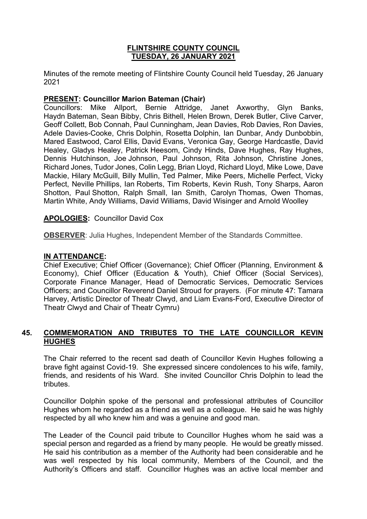### **FLINTSHIRE COUNTY COUNCIL TUESDAY, 26 JANUARY 2021**

Minutes of the remote meeting of Flintshire County Council held Tuesday, 26 January 2021

### **PRESENT: Councillor Marion Bateman (Chair)**

Councillors: Mike Allport, Bernie Attridge, Janet Axworthy, Glyn Banks, Haydn Bateman, Sean Bibby, Chris Bithell, Helen Brown, Derek Butler, Clive Carver, Geoff Collett, Bob Connah, Paul Cunningham, Jean Davies, Rob Davies, Ron Davies, Adele Davies-Cooke, Chris Dolphin, Rosetta Dolphin, Ian Dunbar, Andy Dunbobbin, Mared Eastwood, Carol Ellis, David Evans, Veronica Gay, George Hardcastle, David Healey, Gladys Healey, Patrick Heesom, Cindy Hinds, Dave Hughes, Ray Hughes, Dennis Hutchinson, Joe Johnson, Paul Johnson, Rita Johnson, Christine Jones, Richard Jones, Tudor Jones, Colin Legg, Brian Lloyd, Richard Lloyd, Mike Lowe, Dave Mackie, Hilary McGuill, Billy Mullin, Ted Palmer, Mike Peers, Michelle Perfect, Vicky Perfect, Neville Phillips, Ian Roberts, Tim Roberts, Kevin Rush, Tony Sharps, Aaron Shotton, Paul Shotton, Ralph Small, Ian Smith, Carolyn Thomas, Owen Thomas, Martin White, Andy Williams, David Williams, David Wisinger and Arnold Woolley

### **APOLOGIES:** Councillor David Cox

**OBSERVER**: Julia Hughes, Independent Member of the Standards Committee.

# **IN ATTENDANCE:**

Chief Executive; Chief Officer (Governance); Chief Officer (Planning, Environment & Economy), Chief Officer (Education & Youth), Chief Officer (Social Services), Corporate Finance Manager, Head of Democratic Services, Democratic Services Officers; and Councillor Reverend Daniel Stroud for prayers. (For minute 47: Tamara Harvey, Artistic Director of Theatr Clwyd, and Liam Evans-Ford, Executive Director of Theatr Clwyd and Chair of Theatr Cymru)

### **45. COMMEMORATION AND TRIBUTES TO THE LATE COUNCILLOR KEVIN HUGHES**

The Chair referred to the recent sad death of Councillor Kevin Hughes following a brave fight against Covid-19. She expressed sincere condolences to his wife, family, friends, and residents of his Ward. She invited Councillor Chris Dolphin to lead the tributes.

Councillor Dolphin spoke of the personal and professional attributes of Councillor Hughes whom he regarded as a friend as well as a colleague. He said he was highly respected by all who knew him and was a genuine and good man.

The Leader of the Council paid tribute to Councillor Hughes whom he said was a special person and regarded as a friend by many people. He would be greatly missed. He said his contribution as a member of the Authority had been considerable and he was well respected by his local community, Members of the Council, and the Authority's Officers and staff. Councillor Hughes was an active local member and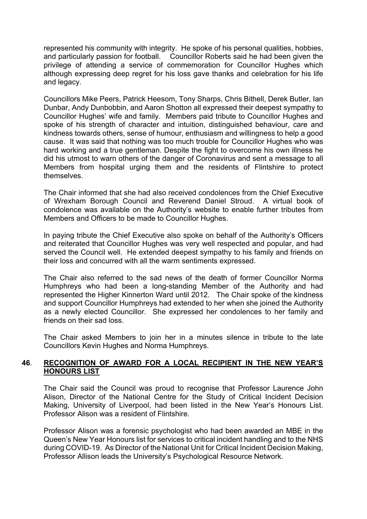represented his community with integrity. He spoke of his personal qualities, hobbies, and particularly passion for football. Councillor Roberts said he had been given the privilege of attending a service of commemoration for Councillor Hughes which although expressing deep regret for his loss gave thanks and celebration for his life and legacy.

Councillors Mike Peers, Patrick Heesom, Tony Sharps, Chris Bithell, Derek Butler, Ian Dunbar, Andy Dunbobbin, and Aaron Shotton all expressed their deepest sympathy to Councillor Hughes' wife and family. Members paid tribute to Councillor Hughes and spoke of his strength of character and intuition, distinguished behaviour, care and kindness towards others, sense of humour, enthusiasm and willingness to help a good cause. It was said that nothing was too much trouble for Councillor Hughes who was hard working and a true gentleman. Despite the fight to overcome his own illness he did his utmost to warn others of the danger of Coronavirus and sent a message to all Members from hospital urging them and the residents of Flintshire to protect themselves.

The Chair informed that she had also received condolences from the Chief Executive of Wrexham Borough Council and Reverend Daniel Stroud. A virtual book of condolence was available on the Authority's website to enable further tributes from Members and Officers to be made to Councillor Hughes.

In paying tribute the Chief Executive also spoke on behalf of the Authority's Officers and reiterated that Councillor Hughes was very well respected and popular, and had served the Council well. He extended deepest sympathy to his family and friends on their loss and concurred with all the warm sentiments expressed.

The Chair also referred to the sad news of the death of former Councillor Norma Humphreys who had been a long-standing Member of the Authority and had represented the Higher Kinnerton Ward until 2012. The Chair spoke of the kindness and support Councillor Humphreys had extended to her when she joined the Authority as a newly elected Councillor. She expressed her condolences to her family and friends on their sad loss.

The Chair asked Members to join her in a minutes silence in tribute to the late Councillors Kevin Hughes and Norma Humphreys.

### **46**. **RECOGNITION OF AWARD FOR A LOCAL RECIPIENT IN THE NEW YEAR'S HONOURS LIST**

The Chair said the Council was proud to recognise that Professor Laurence John Alison, Director of the National Centre for the Study of Critical Incident Decision Making, University of Liverpool, had been listed in the New Year's Honours List. Professor Alison was a resident of Flintshire.

Professor Alison was a forensic psychologist who had been awarded an MBE in the Queen's New Year Honours list for services to critical incident handling and to the NHS during COVID-19. As Director of the National Unit for Critical Incident Decision Making, Professor Allison leads the University's Psychological Resource Network.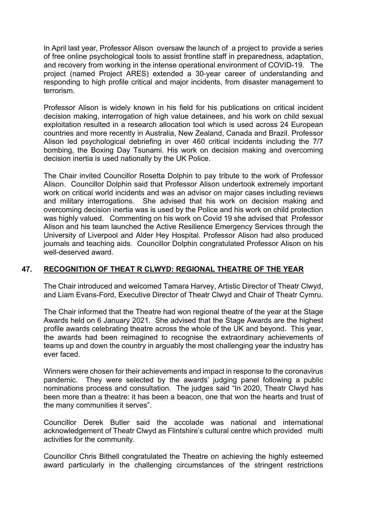In April last year, Professor Alison oversaw the launch of a project to provide a series of free online psychological tools to assist frontline staff in preparedness, adaptation, and recovery from working in the intense operational environment of COVID-19. The project (named Project ARES) extended a 30-year career of understanding and responding to high profile critical and major incidents, from disaster management to terrorism.

Professor Alison is widely known in his field for his publications on critical incident decision making, interrogation of high value detainees, and his work on child sexual exploitation resulted in a research allocation tool which is used across 24 European countries and more recently in Australia, New Zealand, Canada and Brazil. Professor Alison led psychological debriefing in over 460 critical incidents including the 7/7 bombing, the Boxing Day Tsunami. His work on decision making and overcoming decision inertia is used nationally by the UK Police.

The Chair invited Councillor Rosetta Dolphin to pay tribute to the work of Professor Alison. Councillor Dolphin said that Professor Alison undertook extremely important work on critical world incidents and was an advisor on major cases including reviews and military interrogations. She advised that his work on decision making and overcoming decision inertia was is used by the Police and his work on child protection was highly valued. Commenting on his work on Covid 19 she advised that Professor Alison and his team launched the Active Resilience Emergency Services through the University of Liverpool and Alder Hey Hospital. Professor Alison had also produced journals and teaching aids. Councillor Dolphin congratulated Professor Alison on his well-deserved award.

# **47. RECOGNITION OF THEAT R CLWYD: REGIONAL THEATRE OF THE YEAR**

The Chair introduced and welcomed Tamara Harvey, Artistic Director of Theatr Clwyd, and Liam Evans-Ford, Executive Director of Theatr Clwyd and Chair of Theatr Cymru.

The Chair informed that the Theatre had won regional theatre of the year at the Stage Awards held on 6 January 2021. She advised that the Stage Awards are the highest profile awards celebrating theatre across the whole of the UK and beyond. This year, the awards had been reimagined to recognise the extraordinary achievements of teams up and down the country in arguably the most challenging year the industry has ever faced.

Winners were chosen for their achievements and impact in response to the coronavirus pandemic. They were selected by the awards' judging panel following a public nominations process and consultation. The judges said "In 2020, Theatr Clwyd has been more than a theatre: it has been a beacon, one that won the hearts and trust of the many communities it serves".

Councillor Derek Butler said the accolade was national and international acknowledgement of Theatr Clwyd as Flintshire's cultural centre which provided multi activities for the community.

Councillor Chris Bithell congratulated the Theatre on achieving the highly esteemed award particularly in the challenging circumstances of the stringent restrictions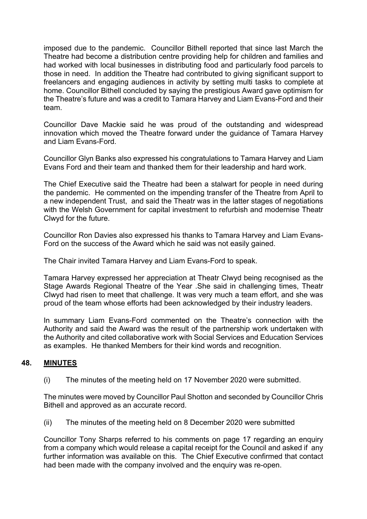imposed due to the pandemic. Councillor Bithell reported that since last March the Theatre had become a distribution centre providing help for children and families and had worked with local businesses in distributing food and particularly food parcels to those in need. In addition the Theatre had contributed to giving significant support to freelancers and engaging audiences in activity by setting multi tasks to complete at home. Councillor Bithell concluded by saying the prestigious Award gave optimism for the Theatre's future and was a credit to Tamara Harvey and Liam Evans-Ford and their team.

Councillor Dave Mackie said he was proud of the outstanding and widespread innovation which moved the Theatre forward under the guidance of Tamara Harvey and Liam Evans-Ford.

Councillor Glyn Banks also expressed his congratulations to Tamara Harvey and Liam Evans Ford and their team and thanked them for their leadership and hard work.

The Chief Executive said the Theatre had been a stalwart for people in need during the pandemic. He commented on the impending transfer of the Theatre from April to a new independent Trust, and said the Theatr was in the latter stages of negotiations with the Welsh Government for capital investment to refurbish and modernise Theatr Clwyd for the future.

Councillor Ron Davies also expressed his thanks to Tamara Harvey and Liam Evans-Ford on the success of the Award which he said was not easily gained.

The Chair invited Tamara Harvey and Liam Evans-Ford to speak.

Tamara Harvey expressed her appreciation at Theatr Clwyd being recognised as the Stage Awards Regional Theatre of the Year .She said in challenging times, Theatr Clwyd had risen to meet that challenge. It was very much a team effort, and she was proud of the team whose efforts had been acknowledged by their industry leaders.

In summary Liam Evans-Ford commented on the Theatre's connection with the Authority and said the Award was the result of the partnership work undertaken with the Authority and cited collaborative work with Social Services and Education Services as examples. He thanked Members for their kind words and recognition.

### **48. MINUTES**

(i) The minutes of the meeting held on 17 November 2020 were submitted.

The minutes were moved by Councillor Paul Shotton and seconded by Councillor Chris Bithell and approved as an accurate record.

(ii) The minutes of the meeting held on 8 December 2020 were submitted

Councillor Tony Sharps referred to his comments on page 17 regarding an enquiry from a company which would release a capital receipt for the Council and asked if any further information was available on this. The Chief Executive confirmed that contact had been made with the company involved and the enquiry was re-open.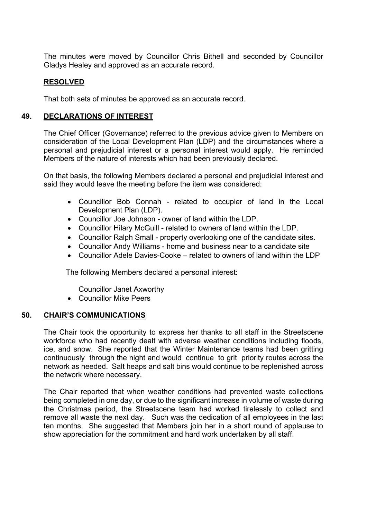The minutes were moved by Councillor Chris Bithell and seconded by Councillor Gladys Healey and approved as an accurate record.

### **RESOLVED**

That both sets of minutes be approved as an accurate record.

### **49. DECLARATIONS OF INTEREST**

The Chief Officer (Governance) referred to the previous advice given to Members on consideration of the Local Development Plan (LDP) and the circumstances where a personal and prejudicial interest or a personal interest would apply. He reminded Members of the nature of interests which had been previously declared.

On that basis, the following Members declared a personal and prejudicial interest and said they would leave the meeting before the item was considered:

- Councillor Bob Connah related to occupier of land in the Local Development Plan (LDP).
- Councillor Joe Johnson owner of land within the LDP.
- Councillor Hilary McGuill related to owners of land within the LDP.
- Councillor Ralph Small property overlooking one of the candidate sites.
- Councillor Andy Williams home and business near to a candidate site
- Councillor Adele Davies-Cooke related to owners of land within the LDP

The following Members declared a personal interest:

Councillor Janet Axworthy

Councillor Mike Peers

### **50. CHAIR'S COMMUNICATIONS**

The Chair took the opportunity to express her thanks to all staff in the Streetscene workforce who had recently dealt with adverse weather conditions including floods, ice, and snow. She reported that the Winter Maintenance teams had been gritting continuously through the night and would continue to grit priority routes across the network as needed. Salt heaps and salt bins would continue to be replenished across the network where necessary.

The Chair reported that when weather conditions had prevented waste collections being completed in one day, or due to the significant increase in volume of waste during the Christmas period, the Streetscene team had worked tirelessly to collect and remove all waste the next day. Such was the dedication of all employees in the last ten months. She suggested that Members join her in a short round of applause to show appreciation for the commitment and hard work undertaken by all staff.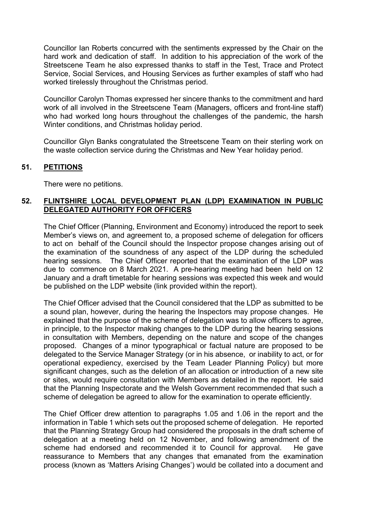Councillor Ian Roberts concurred with the sentiments expressed by the Chair on the hard work and dedication of staff. In addition to his appreciation of the work of the Streetscene Team he also expressed thanks to staff in the Test, Trace and Protect Service, Social Services, and Housing Services as further examples of staff who had worked tirelessly throughout the Christmas period.

Councillor Carolyn Thomas expressed her sincere thanks to the commitment and hard work of all involved in the Streetscene Team (Managers, officers and front-line staff) who had worked long hours throughout the challenges of the pandemic, the harsh Winter conditions, and Christmas holiday period.

Councillor Glyn Banks congratulated the Streetscene Team on their sterling work on the waste collection service during the Christmas and New Year holiday period.

### **51. PETITIONS**

There were no petitions.

### **52. FLINTSHIRE LOCAL DEVELOPMENT PLAN (LDP) EXAMINATION IN PUBLIC DELEGATED AUTHORITY FOR OFFICERS**

The Chief Officer (Planning, Environment and Economy) introduced the report to seek Member's views on, and agreement to, a proposed scheme of delegation for officers to act on behalf of the Council should the Inspector propose changes arising out of the examination of the soundness of any aspect of the LDP during the scheduled hearing sessions. The Chief Officer reported that the examination of the LDP was due to commence on 8 March 2021. A pre-hearing meeting had been held on 12 January and a draft timetable for hearing sessions was expected this week and would be published on the LDP website (link provided within the report).

The Chief Officer advised that the Council considered that the LDP as submitted to be a sound plan, however, during the hearing the Inspectors may propose changes. He explained that the purpose of the scheme of delegation was to allow officers to agree, in principle, to the Inspector making changes to the LDP during the hearing sessions in consultation with Members, depending on the nature and scope of the changes proposed. Changes of a minor typographical or factual nature are proposed to be delegated to the Service Manager Strategy (or in his absence, or inability to act, or for operational expediency, exercised by the Team Leader Planning Policy) but more significant changes, such as the deletion of an allocation or introduction of a new site or sites, would require consultation with Members as detailed in the report. He said that the Planning Inspectorate and the Welsh Government recommended that such a scheme of delegation be agreed to allow for the examination to operate efficiently.

The Chief Officer drew attention to paragraphs 1.05 and 1.06 in the report and the information in Table 1 which sets out the proposed scheme of delegation. He reported that the Planning Strategy Group had considered the proposals in the draft scheme of delegation at a meeting held on 12 November, and following amendment of the scheme had endorsed and recommended it to Council for approval. He gave reassurance to Members that any changes that emanated from the examination process (known as 'Matters Arising Changes') would be collated into a document and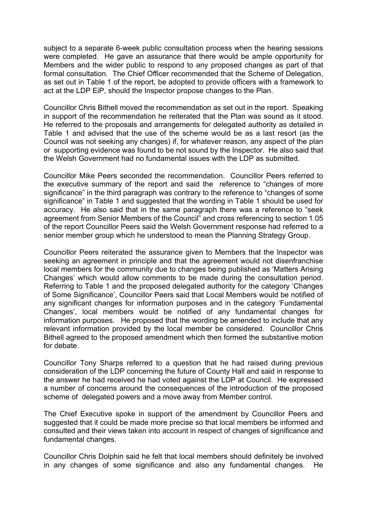subject to a separate 6-week public consultation process when the hearing sessions were completed. He gave an assurance that there would be ample opportunity for Members and the wider public to respond to any proposed changes as part of that formal consultation. The Chief Officer recommended that the Scheme of Delegation, as set out in Table 1 of the report, be adopted to provide officers with a framework to act at the LDP EiP, should the Inspector propose changes to the Plan.

Councillor Chris Bithell moved the recommendation as set out in the report. Speaking in support of the recommendation he reiterated that the Plan was sound as it stood. He referred to the proposals and arrangements for delegated authority as detailed in Table 1 and advised that the use of the scheme would be as a last resort (as the Council was not seeking any changes) if, for whatever reason, any aspect of the plan or supporting evidence was found to be not sound by the Inspector. He also said that the Welsh Government had no fundamental issues with the LDP as submitted.

Councillor Mike Peers seconded the recommendation. Councillor Peers referred to the executive summary of the report and said the reference to "changes of more significance" in the third paragraph was contrary to the reference to "changes of some significance" in Table 1 and suggested that the wording in Table 1 should be used for accuracy. He also said that in the same paragraph there was a reference to "seek agreement from Senior Members of the Council" and cross referencing to section 1.05 of the report Councillor Peers said the Welsh Government response had referred to a senior member group which he understood to mean the Planning Strategy Group.

Councillor Peers reiterated the assurance given to Members that the Inspector was seeking an agreement in principle and that the agreement would not disenfranchise local members for the community due to changes being published as 'Matters Arising Changes' which would allow comments to be made during the consultation period. Referring to Table 1 and the proposed delegated authority for the category 'Changes of Some Significance', Councillor Peers said that Local Members would be notified of any significant changes for information purposes and in the category 'Fundamental Changes', local members would be notified of any fundamental changes for information purposes. He proposed that the wording be amended to include that any relevant information provided by the local member be considered. Councillor Chris Bithell agreed to the proposed amendment which then formed the substantive motion for debate.

Councillor Tony Sharps referred to a question that he had raised during previous consideration of the LDP concerning the future of County Hall and said in response to the answer he had received he had voted against the LDP at Council. He expressed a number of concerns around the consequences of the introduction of the proposed scheme of delegated powers and a move away from Member control.

The Chief Executive spoke in support of the amendment by Councillor Peers and suggested that it could be made more precise so that local members be informed and consulted and their views taken into account in respect of changes of significance and fundamental changes.

Councillor Chris Dolphin said he felt that local members should definitely be involved in any changes of some significance and also any fundamental changes. He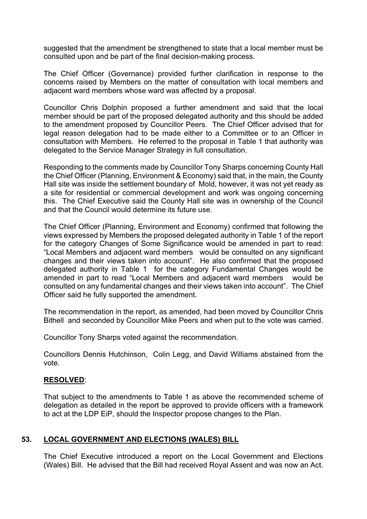suggested that the amendment be strengthened to state that a local member must be consulted upon and be part of the final decision-making process.

The Chief Officer (Governance) provided further clarification in response to the concerns raised by Members on the matter of consultation with local members and adjacent ward members whose ward was affected by a proposal.

Councillor Chris Dolphin proposed a further amendment and said that the local member should be part of the proposed delegated authority and this should be added to the amendment proposed by Councillor Peers. The Chief Officer advised that for legal reason delegation had to be made either to a Committee or to an Officer in consultation with Members. He referred to the proposal in Table 1 that authority was delegated to the Service Manager Strategy in full consultation.

Responding to the comments made by Councillor Tony Sharps concerning County Hall the Chief Officer (Planning, Environment & Economy) said that, in the main, the County Hall site was inside the settlement boundary of Mold, however, it was not yet ready as a site for residential or commercial development and work was ongoing concerning this. The Chief Executive said the County Hall site was in ownership of the Council and that the Council would determine its future use.

The Chief Officer (Planning, Environment and Economy) confirmed that following the views expressed by Members the proposed delegated authority in Table 1 of the report for the category Changes of Some Significance would be amended in part to read: "Local Members and adjacent ward members would be consulted on any significant changes and their views taken into account". He also confirmed that the proposed delegated authority in Table 1 for the category Fundamental Changes would be amended in part to read "Local Members and adjacent ward members would be consulted on any fundamental changes and their views taken into account". The Chief Officer said he fully supported the amendment.

The recommendation in the report, as amended, had been moved by Councillor Chris Bithell and seconded by Councillor Mike Peers and when put to the vote was carried.

Councillor Tony Sharps voted against the recommendation.

Councillors Dennis Hutchinson, Colin Legg, and David Williams abstained from the vote.

### **RESOLVED**:

That subject to the amendments to Table 1 as above the recommended scheme of delegation as detailed in the report be approved to provide officers with a framework to act at the LDP EiP, should the Inspector propose changes to the Plan.

### **53. LOCAL GOVERNMENT AND ELECTIONS (WALES) BILL**

The Chief Executive introduced a report on the Local Government and Elections (Wales) Bill. He advised that the Bill had received Royal Assent and was now an Act.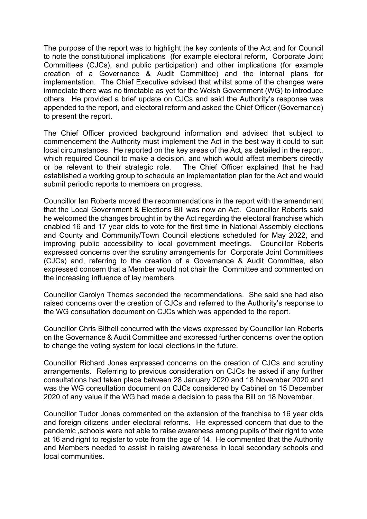The purpose of the report was to highlight the key contents of the Act and for Council to note the constitutional implications (for example electoral reform, Corporate Joint Committees (CJCs), and public participation) and other implications (for example creation of a Governance & Audit Committee) and the internal plans for implementation. The Chief Executive advised that whilst some of the changes were immediate there was no timetable as yet for the Welsh Government (WG) to introduce others. He provided a brief update on CJCs and said the Authority's response was appended to the report, and electoral reform and asked the Chief Officer (Governance) to present the report.

The Chief Officer provided background information and advised that subject to commencement the Authority must implement the Act in the best way it could to suit local circumstances. He reported on the key areas of the Act, as detailed in the report, which required Council to make a decision, and which would affect members directly or be relevant to their strategic role. The Chief Officer explained that he had established a working group to schedule an implementation plan for the Act and would submit periodic reports to members on progress.

Councillor Ian Roberts moved the recommendations in the report with the amendment that the Local Government & Elections Bill was now an Act. Councillor Roberts said he welcomed the changes brought in by the Act regarding the electoral franchise which enabled 16 and 17 year olds to vote for the first time in National Assembly elections and County and Community/Town Council elections scheduled for May 2022, and improving public accessibility to local government meetings. Councillor Roberts expressed concerns over the scrutiny arrangements for Corporate Joint Committees (CJCs) and, referring to the creation of a Governance & Audit Committee, also expressed concern that a Member would not chair the Committee and commented on the increasing influence of lay members.

Councillor Carolyn Thomas seconded the recommendations. She said she had also raised concerns over the creation of CJCs and referred to the Authority's response to the WG consultation document on CJCs which was appended to the report.

Councillor Chris Bithell concurred with the views expressed by Councillor Ian Roberts on the Governance & Audit Committee and expressed further concerns over the option to change the voting system for local elections in the future.

Councillor Richard Jones expressed concerns on the creation of CJCs and scrutiny arrangements. Referring to previous consideration on CJCs he asked if any further consultations had taken place between 28 January 2020 and 18 November 2020 and was the WG consultation document on CJCs considered by Cabinet on 15 December 2020 of any value if the WG had made a decision to pass the Bill on 18 November.

Councillor Tudor Jones commented on the extension of the franchise to 16 year olds and foreign citizens under electoral reforms. He expressed concern that due to the pandemic ,schools were not able to raise awareness among pupils of their right to vote at 16 and right to register to vote from the age of 14. He commented that the Authority and Members needed to assist in raising awareness in local secondary schools and local communities.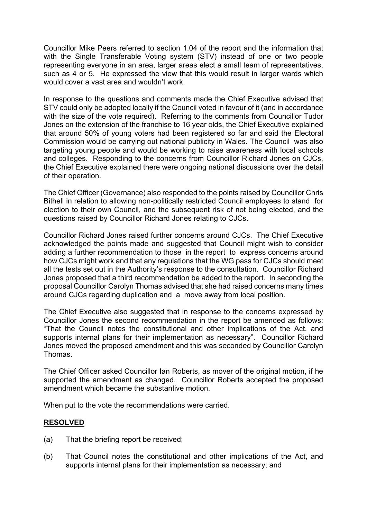Councillor Mike Peers referred to section 1.04 of the report and the information that with the Single Transferable Voting system (STV) instead of one or two people representing everyone in an area, larger areas elect a small team of representatives, such as 4 or 5. He expressed the view that this would result in larger wards which would cover a vast area and wouldn't work.

In response to the questions and comments made the Chief Executive advised that STV could only be adopted locally if the Council voted in favour of it (and in accordance with the size of the vote required). Referring to the comments from Councillor Tudor Jones on the extension of the franchise to 16 year olds, the Chief Executive explained that around 50% of young voters had been registered so far and said the Electoral Commission would be carrying out national publicity in Wales. The Council was also targeting young people and would be working to raise awareness with local schools and colleges. Responding to the concerns from Councillor Richard Jones on CJCs, the Chief Executive explained there were ongoing national discussions over the detail of their operation.

The Chief Officer (Governance) also responded to the points raised by Councillor Chris Bithell in relation to allowing non-politically restricted Council employees to stand for election to their own Council, and the subsequent risk of not being elected, and the questions raised by Councillor Richard Jones relating to CJCs.

Councillor Richard Jones raised further concerns around CJCs. The Chief Executive acknowledged the points made and suggested that Council might wish to consider adding a further recommendation to those in the report to express concerns around how CJCs might work and that any regulations that the WG pass for CJCs should meet all the tests set out in the Authority's response to the consultation. Councillor Richard Jones proposed that a third recommendation be added to the report. In seconding the proposal Councillor Carolyn Thomas advised that she had raised concerns many times around CJCs regarding duplication and a move away from local position.

The Chief Executive also suggested that in response to the concerns expressed by Councillor Jones the second recommendation in the report be amended as follows: "That the Council notes the constitutional and other implications of the Act, and supports internal plans for their implementation as necessary". Councillor Richard Jones moved the proposed amendment and this was seconded by Councillor Carolyn Thomas.

The Chief Officer asked Councillor Ian Roberts, as mover of the original motion, if he supported the amendment as changed. Councillor Roberts accepted the proposed amendment which became the substantive motion.

When put to the vote the recommendations were carried.

### **RESOLVED**

- (a) That the briefing report be received;
- (b) That Council notes the constitutional and other implications of the Act, and supports internal plans for their implementation as necessary; and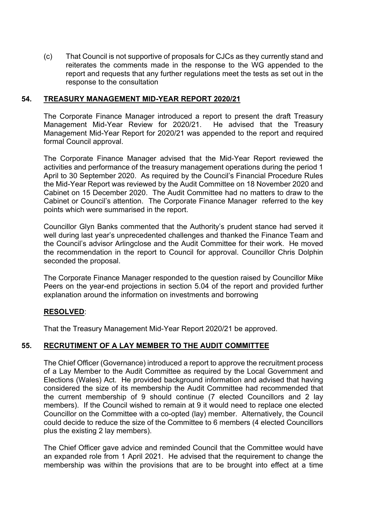(c) That Council is not supportive of proposals for CJCs as they currently stand and reiterates the comments made in the response to the WG appended to the report and requests that any further regulations meet the tests as set out in the response to the consultation

### **54. TREASURY MANAGEMENT MID-YEAR REPORT 2020/21**

The Corporate Finance Manager introduced a report to present the draft Treasury Management Mid-Year Review for 2020/21. He advised that the Treasury Management Mid-Year Report for 2020/21 was appended to the report and required formal Council approval.

The Corporate Finance Manager advised that the Mid-Year Report reviewed the activities and performance of the treasury management operations during the period 1 April to 30 September 2020. As required by the Council's Financial Procedure Rules the Mid-Year Report was reviewed by the Audit Committee on 18 November 2020 and Cabinet on 15 December 2020. The Audit Committee had no matters to draw to the Cabinet or Council's attention. The Corporate Finance Manager referred to the key points which were summarised in the report.

Councillor Glyn Banks commented that the Authority's prudent stance had served it well during last year's unprecedented challenges and thanked the Finance Team and the Council's advisor Arlingclose and the Audit Committee for their work. He moved the recommendation in the report to Council for approval. Councillor Chris Dolphin seconded the proposal.

The Corporate Finance Manager responded to the question raised by Councillor Mike Peers on the year-end projections in section 5.04 of the report and provided further explanation around the information on investments and borrowing

### **RESOLVED**:

That the Treasury Management Mid-Year Report 2020/21 be approved.

# **55. RECRUTIMENT OF A LAY MEMBER TO THE AUDIT COMMITTEE**

The Chief Officer (Governance) introduced a report to approve the recruitment process of a Lay Member to the Audit Committee as required by the Local Government and Elections (Wales) Act. He provided background information and advised that having considered the size of its membership the Audit Committee had recommended that the current membership of 9 should continue (7 elected Councillors and 2 lay members). If the Council wished to remain at 9 it would need to replace one elected Councillor on the Committee with a co-opted (lay) member. Alternatively, the Council could decide to reduce the size of the Committee to 6 members (4 elected Councillors plus the existing 2 lay members).

The Chief Officer gave advice and reminded Council that the Committee would have an expanded role from 1 April 2021. He advised that the requirement to change the membership was within the provisions that are to be brought into effect at a time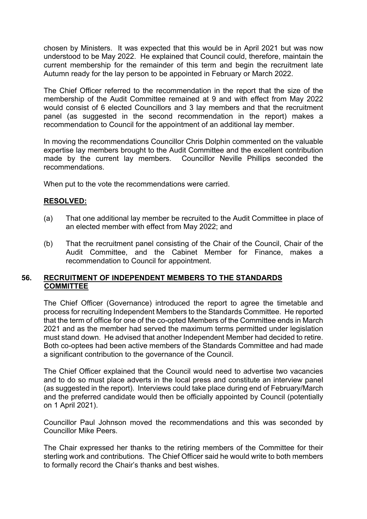chosen by Ministers. It was expected that this would be in April 2021 but was now understood to be May 2022. He explained that Council could, therefore, maintain the current membership for the remainder of this term and begin the recruitment late Autumn ready for the lay person to be appointed in February or March 2022.

The Chief Officer referred to the recommendation in the report that the size of the membership of the Audit Committee remained at 9 and with effect from May 2022 would consist of 6 elected Councillors and 3 lay members and that the recruitment panel (as suggested in the second recommendation in the report) makes a recommendation to Council for the appointment of an additional lay member.

In moving the recommendations Councillor Chris Dolphin commented on the valuable expertise lay members brought to the Audit Committee and the excellent contribution made by the current lay members. Councillor Neville Phillips seconded the recommendations.

When put to the vote the recommendations were carried.

### **RESOLVED:**

- (a) That one additional lay member be recruited to the Audit Committee in place of an elected member with effect from May 2022; and
- (b) That the recruitment panel consisting of the Chair of the Council, Chair of the Audit Committee, and the Cabinet Member for Finance, makes a recommendation to Council for appointment.

### **56. RECRUITMENT OF INDEPENDENT MEMBERS TO THE STANDARDS COMMITTEE**

The Chief Officer (Governance) introduced the report to agree the timetable and process for recruiting Independent Members to the Standards Committee. He reported that the term of office for one of the co-opted Members of the Committee ends in March 2021 and as the member had served the maximum terms permitted under legislation must stand down. He advised that another Independent Member had decided to retire. Both co-optees had been active members of the Standards Committee and had made a significant contribution to the governance of the Council.

The Chief Officer explained that the Council would need to advertise two vacancies and to do so must place adverts in the local press and constitute an interview panel (as suggested in the report). Interviews could take place during end of February/March and the preferred candidate would then be officially appointed by Council (potentially on 1 April 2021).

Councillor Paul Johnson moved the recommendations and this was seconded by Councillor Mike Peers.

The Chair expressed her thanks to the retiring members of the Committee for their sterling work and contributions. The Chief Officer said he would write to both members to formally record the Chair's thanks and best wishes.